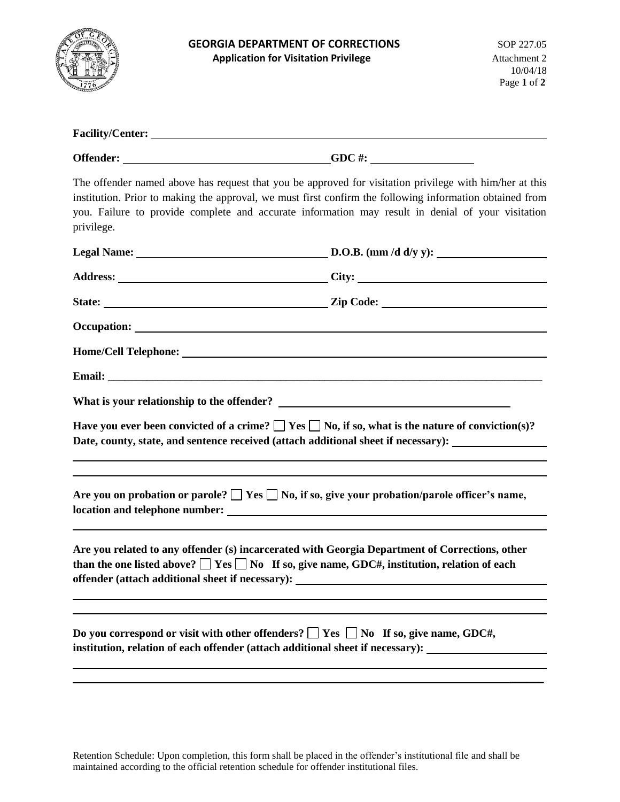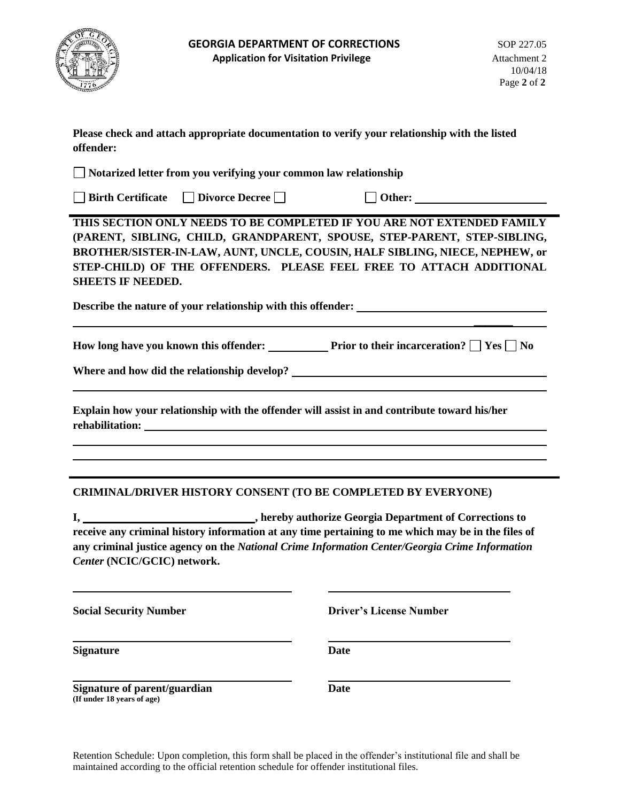

**Please check and attach appropriate documentation to verify your relationship with the listed offender:**

**Notarized letter from you verifying your common law relationship** 

□ Birth Certificate □ Divorce Decree □ □ □ Other:

**THIS SECTION ONLY NEEDS TO BE COMPLETED IF YOU ARE NOT EXTENDED FAMILY (PARENT, SIBLING, CHILD, GRANDPARENT, SPOUSE, STEP-PARENT, STEP-SIBLING, BROTHER/SISTER-IN-LAW, AUNT, UNCLE, COUSIN, HALF SIBLING, NIECE, NEPHEW, or STEP-CHILD) OF THE OFFENDERS. PLEASE FEEL FREE TO ATTACH ADDITIONAL SHEETS IF NEEDED.**

**Describe the nature of your relationship with this offender:** 

**How long have you known this offender:** Prior to their incarceration?  $\Box$  Yes  $\Box$  No

**\_\_\_\_\_\_\_**

**Where and how did the relationship develop?** 

**Explain how your relationship with the offender will assist in and contribute toward his/her rehabilitation:** 

## **CRIMINAL/DRIVER HISTORY CONSENT (TO BE COMPLETED BY EVERYONE)**

**I, , hereby authorize Georgia Department of Corrections to receive any criminal history information at any time pertaining to me which may be in the files of any criminal justice agency on the** *National Crime Information Center/Georgia Crime Information Center* **(NCIC/GCIC) network.**

**Social Security Number Driver's License Number**

**Signature Date**

**Signature** of parent/guardian Date **(If under 18 years of age)**